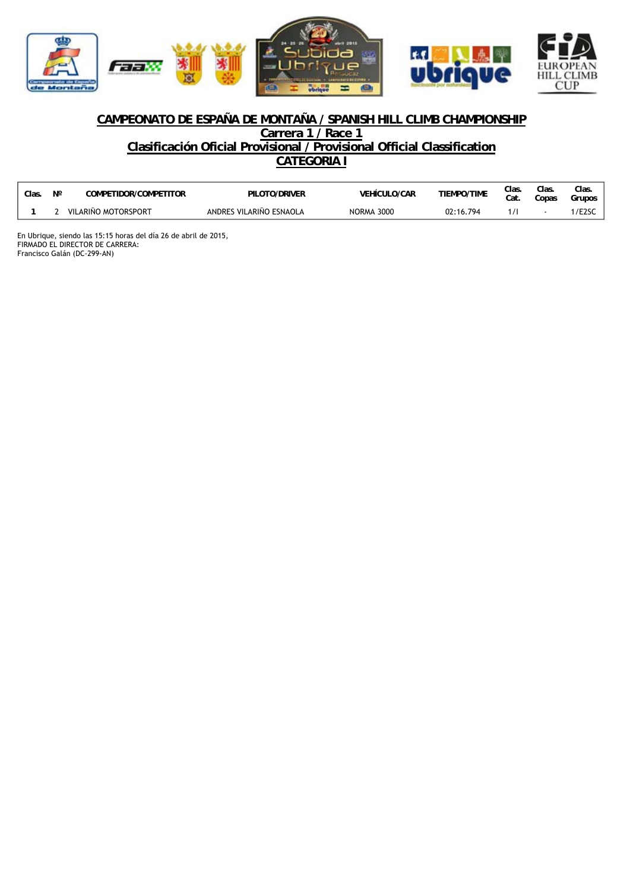

## **CAMPEONATO DE ESPAÑA DE MONTAÑA / SPANISH HILL CLIMB CHAMPIONSHIP Carrera 1 / Race 1**

**Clasificación Oficial Provisional / Provisional Official Classification CATEGORIA I**

| Clas. | Ν° | COMPETIDOR/COMPETITOR | PILOTO/DRIVER           | <b>VEHICULO/CAR</b> | <b>TIEMPO/TIME</b> | Clas.<br>Cat. | Clas.<br>Copas | Clas.<br>Grupos    |
|-------|----|-----------------------|-------------------------|---------------------|--------------------|---------------|----------------|--------------------|
|       |    | VILARIÑO MOTORSPORT   | ANDRES VILARIÑO ESNAOLA | NORMA 3000          | 02:16.794          |               |                | /E <sub>2</sub> SC |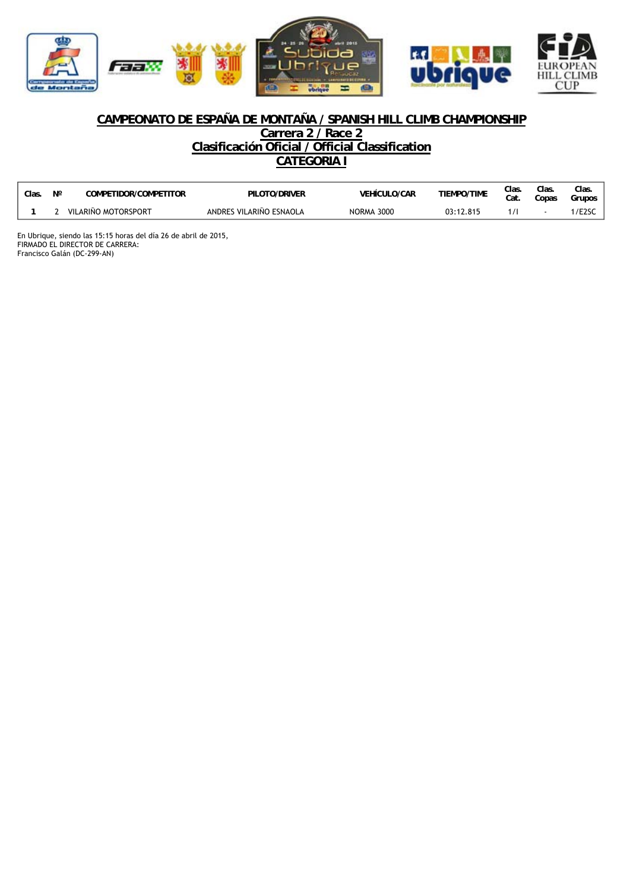

## **CAMPEONATO DE ESPAÑA DE MONTAÑA / SPANISH HILL CLIMB CHAMPIONSHIP**

**Carrera 2 / Race 2**

**Clasificación Oficial / Official Classification**

**CATEGORIA I**

| Clas. | Ν° | COMPETIDOR/COMPETITOR | PILOTO/DRIVER           | <b>VEHICULO/CAR</b> | <b>TIEMPO/TIME</b> | Clas.<br>Cat. | Clas.<br>Copas | Clas.<br>Grupos    |
|-------|----|-----------------------|-------------------------|---------------------|--------------------|---------------|----------------|--------------------|
|       |    | VILARIÑO MOTORSPORT   | ANDRES VILARIÑO ESNAOLA | NORMA 3000          | 03:12.815          |               |                | /E <sub>2</sub> SC |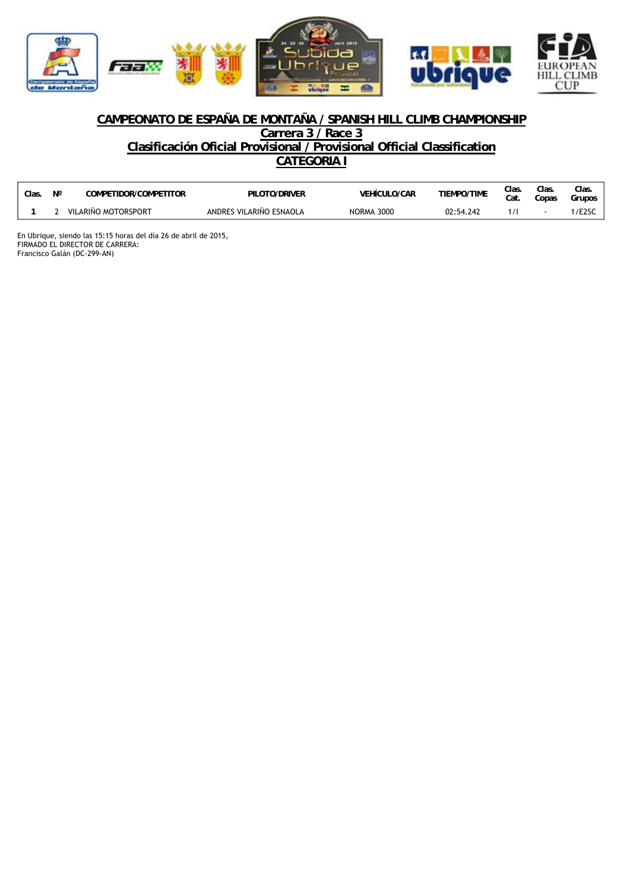

## **CAMPEONATO DE ESPAÑA DE MONTAÑA / SPANISH HILL CLIMB CHAMPIONSHIP Carrera 3 / Race 3**

**Clasificación Oficial Provisional / Provisional Official Classification CATEGORIA I**

| Clas. | <b>NIO</b> | COMPETIDOR/COMPETITOR | PILOTO/DRIVER           | <b>VEHÍCULO/CAR</b> | <b>TIEMPO/TIME</b> | Clas.<br>Cat | Clas.<br>Copas | Clas<br>Grupos     |
|-------|------------|-----------------------|-------------------------|---------------------|--------------------|--------------|----------------|--------------------|
|       |            | VILARIÑO MOTORSPORT   | ANDRES VILARIÑO ESNAOLA | <b>NORMA 3000</b>   | 02:54.242          |              |                | /E <sub>2</sub> SC |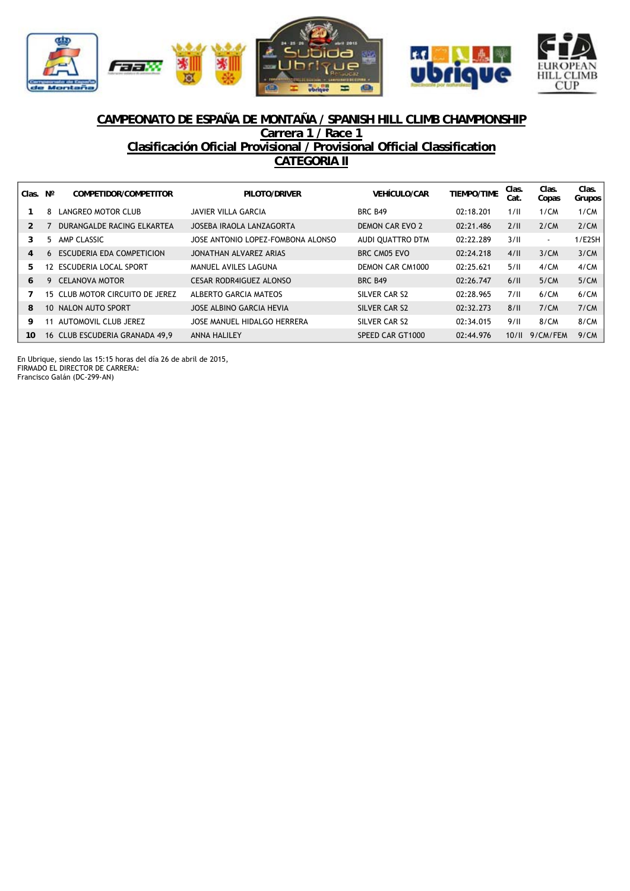



## **CAMPEONATO DE ESPAÑA DE MONTAÑA / SPANISH HILL CLIMB CHAMPIONSHIP Carrera 1 / Race 1 Clasificación Oficial Provisional / Provisional Official Classification CATEGORIA II**

| Clas. | N° | COMPETIDOR/COMPETITOR           | PILOTO/DRIVER                     | <b>VEHÍCULO/CAR</b> | <b>TIEMPO/TIME</b> | Clas.<br>Cat. | Clas.<br>Copas | Clas.<br>Grupos |
|-------|----|---------------------------------|-----------------------------------|---------------------|--------------------|---------------|----------------|-----------------|
|       | 8  | LANGREO MOTOR CLUB              | JAVIER VILLA GARCIA               | <b>BRC B49</b>      | 02:18.201          | 1/II          | 1/CM           | 1/CM            |
| 2     |    | DURANGALDE RACING ELKARTEA      | JOSEBA IRAOLA LANZAGORTA          | DEMON CAR EVO 2     | 02:21.486          | 2/II          | 2/CM           | 2/CM            |
| 3     | 5. | AMP CLASSIC                     | JOSE ANTONIO LOPEZ-FOMBONA ALONSO | AUDI QUATTRO DTM    | 02:22.289          | 3/11          | $\sim$         | 1/E2SH          |
| 4     | 6. | ESCUDERIA EDA COMPETICION       | JONATHAN ALVAREZ ARIAS            | BRC CM05 EVO        | 02:24.218          | 4/II          | 3/CM           | 3/CM            |
| 5     | 12 | ESCUDERIA LOCAL SPORT           | MANUEL AVILES LAGUNA              | DEMON CAR CM1000    | 02:25.621          | 5/11          | 4/CM           | 4/CM            |
| 6     | 9  | <b>CELANOVA MOTOR</b>           | <b>CESAR RODR4IGUEZ ALONSO</b>    | <b>BRC B49</b>      | 02:26.747          | 6/II          | 5/CM           | 5/CM            |
|       |    | 15 CLUB MOTOR CIRCUITO DE JEREZ | ALBERTO GARCIA MATEOS             | SILVER CAR S2       | 02:28.965          | 7/II          | 6/CM           | 6/CM            |
| 8     |    | 10 NALON AUTO SPORT             | JOSE ALBINO GARCIA HEVIA          | SILVER CAR S2       | 02:32.273          | 8/II          | 7/CM           | 7/CM            |
| 9     | 11 | AUTOMOVIL CLUB JEREZ            | JOSE MANUEL HIDALGO HERRERA       | SILVER CAR S2       | 02:34.015          | 9/II          | 8/CM           | 8/CM            |
| 10    |    | 16 CLUB ESCUDERIA GRANADA 49,9  | <b>ANNA HALILEY</b>               | SPEED CAR GT1000    | 02:44.976          | 10/II         | 9/CM/FEM       | 9/CM            |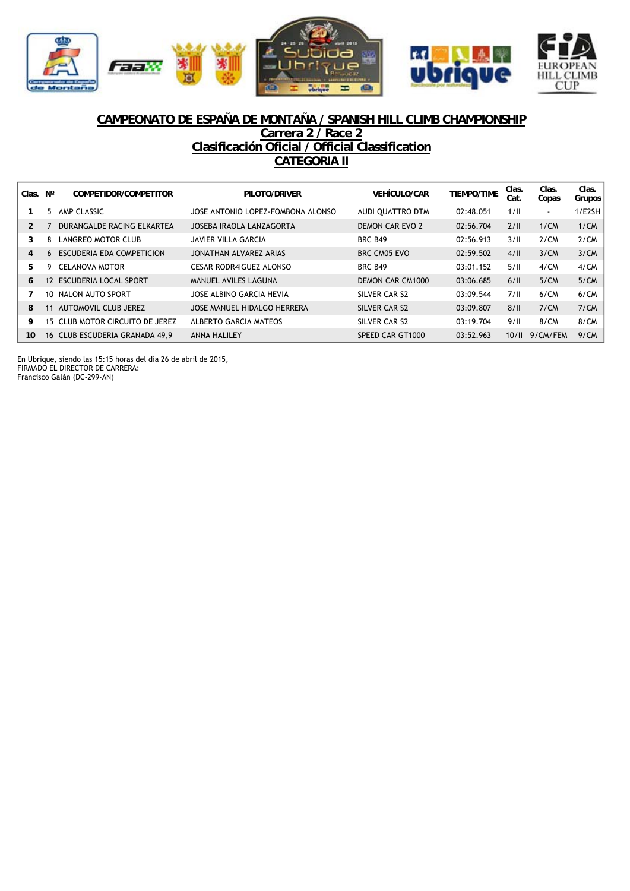



# **CAMPEONATO DE ESPAÑA DE MONTAÑA / SPANISH HILL CLIMB CHAMPIONSHIP**

## **Carrera 2 / Race 2 Clasificación Oficial / Official Classification CATEGORIA II**

| Clas. | Ν°              | COMPETIDOR/COMPETITOR          | PILOTO/DRIVER                     | <b>VEHÍCULO/CAR</b> | <b>TIEMPO/TIME</b> | Clas.<br>Cat. | Clas.<br>Copas | Clas.<br>Grupos |
|-------|-----------------|--------------------------------|-----------------------------------|---------------------|--------------------|---------------|----------------|-----------------|
|       | 5.              | AMP CLASSIC                    | JOSE ANTONIO LOPEZ-FOMBONA ALONSO | AUDI OUATTRO DTM    | 02:48.051          | 1/II          | ۰.             | 1/E2SH          |
|       |                 | DURANGALDE RACING ELKARTEA     | JOSEBA IRAOLA LANZAGORTA          | DEMON CAR EVO 2     | 02:56.704          | 2/II          | 1/CM           | 1/CM            |
| 3     | 8               | LANGREO MOTOR CLUB             | JAVIER VILLA GARCIA               | <b>BRC B49</b>      | 02:56.913          | 3/II          | 2/CM           | 2/CM            |
| 4     | 6.              | ESCUDERIA EDA COMPETICION      | JONATHAN ALVAREZ ARIAS            | BRC CM05 EVO        | 02:59.502          | 4/II          | 3/CM           | 3/CM            |
| 5.    | 9.              | <b>CELANOVA MOTOR</b>          | CESAR RODR4IGUEZ ALONSO           | <b>BRC B49</b>      | 03:01.152          | 5/II          | 4/CM           | 4/CM            |
| 6     | 12 <sup>1</sup> | <b>ESCUDERIA LOCAL SPORT</b>   | MANUEL AVILES LAGUNA              | DEMON CAR CM1000    | 03:06.685          | 6/II          | 5/CM           | 5/CM            |
|       | 10.             | NALON AUTO SPORT               | JOSE ALBINO GARCIA HEVIA          | SILVER CAR S2       | 03:09.544          | 7/II          | 6/CM           | 6/CM            |
| 8     | 11              | AUTOMOVIL CLUB JEREZ           | JOSE MANUEL HIDALGO HERRERA       | SILVER CAR S2       | 03:09.807          | 8/11          | 7/CM           | 7/CM            |
| 9     | 15.             | CLUB MOTOR CIRCUITO DE JEREZ   | ALBERTO GARCIA MATEOS             | SILVER CAR S2       | 03:19.704          | 9/II          | 8/CM           | 8/CM            |
| 10    |                 | 16 CLUB ESCUDERIA GRANADA 49.9 | <b>ANNA HALILEY</b>               | SPEED CAR GT1000    | 03:52.963          | 10/II         | 9/CM/FEM       | 9/CM            |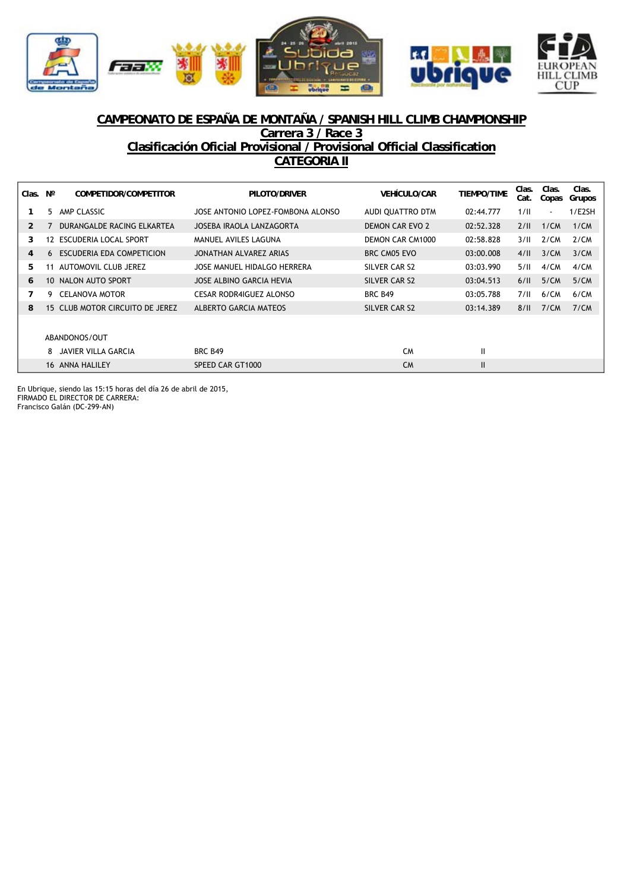



## **CAMPEONATO DE ESPAÑA DE MONTAÑA / SPANISH HILL CLIMB CHAMPIONSHIP Carrera 3 / Race 3 Clasificación Oficial Provisional / Provisional Official Classification CATEGORIA II**

| Clas. | $N^{\circ}$ | COMPETIDOR/COMPETITOR           | PILOTO/DRIVER                     | <b>VEHÍCULO/CAR</b>     | <b>TIEMPO/TIME</b> | Clas.<br>Cat. | Clas.<br>Copas           | Clas.<br>Grupos |
|-------|-------------|---------------------------------|-----------------------------------|-------------------------|--------------------|---------------|--------------------------|-----------------|
|       | 5.          | AMP CLASSIC                     | JOSE ANTONIO LOPEZ-FOMBONA ALONSO | AUDI QUATTRO DTM        | 02:44.777          | 1/II          | $\overline{\phantom{a}}$ | 1/E2SH          |
| 2     |             | DURANGALDE RACING ELKARTEA      | JOSEBA IRAOLA LANZAGORTA          | DEMON CAR EVO 2         | 02:52.328          | 2/II          | 1/CM                     | 1/CM            |
| 3     | 12          | ESCUDERIA LOCAL SPORT           | MANUEL AVILES LAGUNA              | <b>DEMON CAR CM1000</b> | 02:58.828          | 3/11          | 2/CM                     | 2/CM            |
| 4     |             | 6 ESCUDERIA EDA COMPETICION     | JONATHAN ALVAREZ ARIAS            | BRC CM05 EVO            | 03:00.008          | 4/II          | 3/CM                     | 3/CM            |
| 5.    | 11          | AUTOMOVIL CLUB JEREZ            | JOSE MANUEL HIDALGO HERRERA       | SILVER CAR S2           | 03:03.990          | 5/II          | 4/CM                     | 4/CM            |
| 6     |             | 10 NALON AUTO SPORT             | JOSE ALBINO GARCIA HEVIA          | SILVER CAR S2           | 03:04.513          | 6/II          | 5/CM                     | 5/CM            |
| 7     | 9           | <b>CELANOVA MOTOR</b>           | CESAR RODR4IGUEZ ALONSO           | <b>BRC B49</b>          | 03:05.788          | 7/II          | 6/CM                     | 6/CM            |
| 8     |             | 15 CLUB MOTOR CIRCUITO DE JEREZ | ALBERTO GARCIA MATEOS             | SILVER CAR S2           | 03:14.389          | 8/II          | 7/CM                     | 7/CM            |
|       |             |                                 |                                   |                         |                    |               |                          |                 |
|       |             | ABANDONOS/OUT                   |                                   |                         |                    |               |                          |                 |
|       | 8           | JAVIER VILLA GARCIA             | <b>BRC B49</b>                    | <b>CM</b>               | Ш                  |               |                          |                 |
|       |             | 16 ANNA HALILEY                 | SPEED CAR GT1000                  | <b>CM</b>               | $\mathbf{I}$       |               |                          |                 |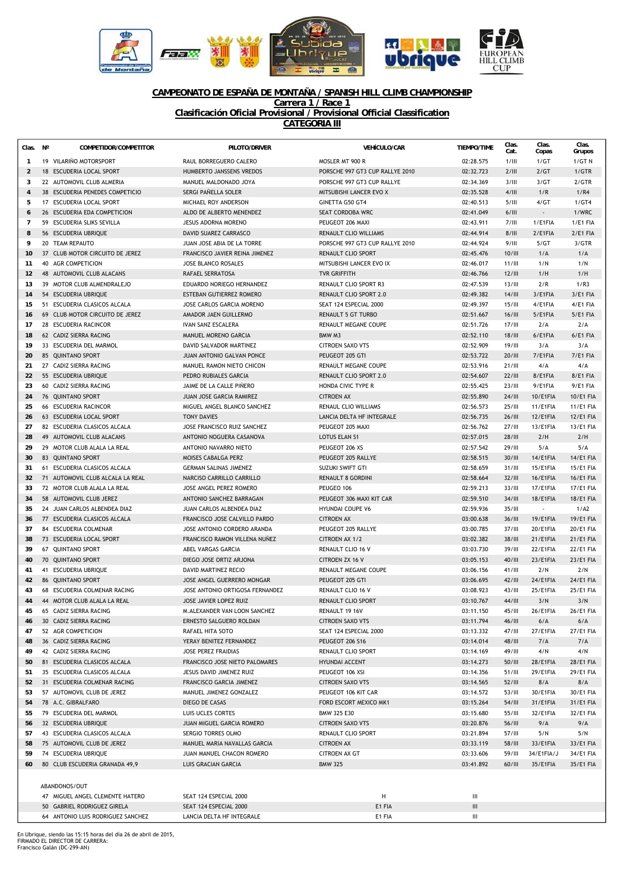

## **CAMPEONATO DE ESPAÑA DE MONTAÑA / SPANISH HILL CLIMB CHAMPIONSHIP**

**Carrera 1 / Race 1 Clasificación Oficial Provisional / Provisional Official Classification**

**CATEGORIA III**

| Clas.          | $N^{\circ}$ | COMPETIDOR/COMPETITOR             | PILOTO/DRIVER                    | <b>VEHÍCULO/CAR</b>             | <b>TIEMPO/TIME</b>                 | Clas.<br>Cat. | Clas.<br>Copas  | Clas.<br>Grupos  |
|----------------|-------------|-----------------------------------|----------------------------------|---------------------------------|------------------------------------|---------------|-----------------|------------------|
| $\mathbf{1}$   |             | 19 VILARIÑO MOTORSPORT            | RAUL BORREGUERO CALERO           | MOSLER MT 900 R                 | 02:28.575                          | 1/III         | 1/GT            | 1/GT N           |
| $\overline{2}$ |             | 18 ESCUDERIA LOCAL SPORT          | HUMBERTO JANSSENS VREDOS         | PORSCHE 997 GT3 CUP RALLYE 2010 | 02:32.723                          | 2/III         | 2/GT            | 1/GTR            |
| 3              |             | 22 AUTOMOVIL CLUB ALMERIA         | MANUEL MALDONADO JOYA            | PORSCHE 997 GT3 CUP RALLYE      | 02:34.369                          | 3/III         | 3/GT            | 2/GTR            |
| $\overline{4}$ |             | 38 ESCUDERIA PENEDES COMPETICIO   | SERGI PAÑELLA SOLER              | MITSUBISHI LANCER EVO X         | 02:35.528                          | 4/III         | 1/R             | 1/R4             |
| 5              |             | 17 ESCUDERIA LOCAL SPORT          | MICHAEL ROY ANDERSON             | GINETTA G50 GT4                 | 02:40.513                          | 5/III         | 4/GT            | 1/GT4            |
| 6              |             | 26 ESCUDERIA EDA COMPETICION      | ALDO DE ALBERTO MENENDEZ         | SEAT CORDOBA WRC                | 02:41.049                          | 6/III         |                 | 1/WRC            |
| $\overline{7}$ |             | 59 ESCUDERIA SLIKS SEVILLA        | JESUS ADORNA MORENO              | PEUGEOT 206 MAXI                | 02:43.911                          | 7/III         | 1/E1FIA         | 1/E1 FIA         |
| 8              |             | 56 ESCUDERIA UBRIQUE              | DAVID SUAREZ CARRASCO            | RENAULT CLIO WILLIAMS           | 02:44.914                          | 8/III         | 2/E1FIA         | $2/EA$ FIA       |
| 9              |             | 20 TEAM REPAUTO                   | JUAN JOSE ABIA DE LA TORRE       | PORSCHE 997 GT3 CUP RALLYE 2010 | 02:44.924                          | 9/III         | 5/GT            | 3/GTR            |
| 10             |             | 37 CLUB MOTOR CIRCUITO DE JEREZ   | FRANCISCO JAVIER REINA JIMENEZ   | RENAULT CLIO SPORT              | 02:45.476                          | 10/III        | 1/A             | 1/A              |
| 11             |             | 40 AGR COMPETICION                | <b>JOSE BLANCO ROSALES</b>       | MITSUBISHI LANCER EVO IX        | 02:46.017                          | 11/III        | 1/N             | 1/N              |
| 12             |             | 48 AUTOMOVIL CLUB ALACANS         | <b>RAFAEL SERRATOSA</b>          | <b>TVR GRIFFITH</b>             | 02:46.766                          | 12/III        | 1/H             | 1/H              |
| 13             |             | 39 MOTOR CLUB ALMENDRALEJO        | EDUARDO NORIEGO HERNANDEZ        | <b>RENAULT CLIO SPORT R3</b>    | 02:47.539                          | 13/III        | 2/R             | 1/R3             |
| 14             |             | 54 ESCUDERIA UBRIQUE              | ESTEBAN GUTIERREZ ROMERO         | <b>RENAULT CLIO SPORT 2.0</b>   | 02:49.382                          | 14/III        | 3/E1FIA         | 3/E1 FIA         |
| 15             |             | 51 ESCUDERIA CLASICOS ALCALA      | JOSE CARLOS GARCIA MORENO        | SEAT 124 ESPECIAL 2000          | 02:49.397                          | 15/III        | 4/E1FIA         | 4/E1 FIA         |
| 16             |             | 69 CLUB MOTOR CIRCUITO DE JEREZ   | AMADOR JAEN GUILLERMO            | <b>RENAULT 5 GT TURBO</b>       | 02:51.667                          | 16/III        | 5/E1FIA         | $5/EA$ FIA       |
| 17             |             | 28 ESCUDERIA RACINCOR             | <b>IVAN SANZ ESCALERA</b>        | RENAULT MEGANE COUPE            | 02:51.726                          | 17/III        | 2/A             | 2/A              |
| 18             |             | 62 CADIZ SIERRA RACING            | MANUEL MORENO GARCIA             | BMW M3                          | 02:52.110                          | 18/III        | 6/E1FIA         | 6/E1 FIA         |
| 19             |             | 33 ESCUDERIA DEL MARMOL           | DAVID SALVADOR MARTINEZ          | <b>CITROEN SAXO VTS</b>         | 02:52.909                          | 19/III        | 3/A             | 3/A              |
| 20             |             | 85 QUINTANO SPORT                 | <b>JUAN ANTONIO GALVAN PONCE</b> | PEUGEOT 205 GTI                 | 02:53.722                          | 20/III        | 7/E1FIA         | 7/E1 FIA         |
| 21             |             | 27 CADIZ SIERRA RACING            | MANUEL RAMON NIETO CHICON        | RENAULT MEGANE COUPE            | 02:53.916                          | 21/III        | 4/A             | 4/A              |
| 22             |             | 55 ESCUDERIA UBRIQUE              | PEDRO RUBIALES GARCIA            | <b>RENAULT CLIO SPORT 2.0</b>   | 02:54.607                          | 22/III        | 8/E1FIA         | 8/E1 FIA         |
| 23             |             | 60 CADIZ SIERRA RACING            | JAIME DE LA CALLE PIÑERO         | HONDA CIVIC TYPE R              | 02:55.425                          | 23/III        | 9/E1FIA         | <b>9/E1 FIA</b>  |
| 24             |             | 76 OUINTANO SPORT                 | <b>JUAN JOSE GARCIA RAMIREZ</b>  | <b>CITROEN AX</b>               | 02:55.890                          | 24/III        | 10/E1FIA        | 10/E1 FIA        |
| 25             |             | 66 ESCUDERIA RACINCOR             | MIGUEL ANGEL BLANCO SANCHEZ      | <b>RENAUL CLIO WILLIAMS</b>     | 02:56.573                          | 25/III        | 11/E1FIA        | 11/E1 FIA        |
| 26             |             | 63 ESCUDERIA LOCAL SPORT          | <b>TONY DAVIES</b>               | LANCIA DELTA HF INTEGRALE       | 02:56.735                          | 26/III        | 12/E1FIA        | 12/E1 FIA        |
| 27             |             | 82 ESCUDERIA CLASICOS ALCALA      | JOSE FRANCISCO RUIZ SANCHEZ      | PEUGEOT 205 MAXI                | 02:56.762                          | 27/III        | 13/E1FIA        | 13/E1 FIA        |
| 28             |             | 49 AUTOMOVIL CLUB ALACANS         | ANTONIO NOGUERA CASANOVA         | <b>LOTUS ELAN S1</b>            | 02:57.015                          | <b>28/III</b> | 2/H             | 2/H              |
| 29             |             | 29 MOTOR CLUB ALALA LA REAL       | ANTONIO NAVARRO NIETO            | PEUGEOT 206 XS                  | 02:57.542                          | 29/III        | 5/A             | 5/A              |
| 30             |             | 83 QUINTANO SPORT                 | MOISES CABALGA PERZ              | PEUGEOT 205 RALLYE              | 02:58.515                          | 30/III        | 14/E1FIA        | 14/E1 FIA        |
| 31             |             | 61 ESCUDERIA CLASICOS ALCALA      | <b>GERMAN SALINAS JIMENEZ</b>    | SUZUKI SWIFT GTI                | 02:58.659                          | 31/III        | 15/E1FIA        | 15/E1 FIA        |
| 32             |             | 71 AUTOMOVIL CLUB ALCALA LA REAL  | NARCISO CARRILLO CARRILLO        | <b>RENAULT 8 GORDINI</b>        | 02:58.664                          | 32/III        | 16/E1FIA        | 16/E1 FIA        |
| 33             |             | 72 MOTOR CLUB ALALA LA REAL       | JOSE ANGEL PEREZ ROMERO          | PEUGEO 106                      | 02:59.213                          | 33/III        | 17/E1FIA        | 17/E1 FIA        |
| 34             |             | 58 AUTOMOVIL CLUB JEREZ           | ANTONIO SANCHEZ BARRAGAN         | PEUGEOT 306 MAXI KIT CAR        | 02:59.510                          | 34/III        | <b>18/E1FIA</b> | <b>18/E1 FIA</b> |
| 35             |             | 24 JUAN CARLOS ALBENDEA DIAZ      | JUAN CARLOS ALBENDEA DIAZ        | <b>HYUNDAI COUPE V6</b>         | 02:59.936                          | 35/III        | $\sim$          | 1/A2             |
| 36             |             | 77 ESCUDERIA CLASICOS ALCALA      | FRANCISCO JOSE CALVILLO PARDO    | <b>CITROEN AX</b>               | 03:00.638                          | 36/III        | 19/E1FIA        | 19/E1 FIA        |
| 37             |             | 84 ESCUDERIA COLMENAR             | JOSE ANTONIO CORDERO ARANDA      | PEUGEOT 205 RALLYE              | 03:00.785                          | 37/III        | 20/E1FIA        | 20/E1 FIA        |
| 38             |             | 73 ESCUDERIA LOCAL SPORT          | FRANCISCO RAMON VILLENA NUÑEZ    | <b>CITROEN AX 1/2</b>           | 03:02.382                          | 38/III        | 21/E1FIA        | 21/E1 FIA        |
| 39             |             | 67 QUINTANO SPORT                 | ABEL VARGAS GARCIA               | RENAULT CLIO 16 V               | 03:03.730                          | 39/III        | 22/E1FIA        | 22/E1 FIA        |
| 40             |             | 70 QUINTANO SPORT                 | DIEGO JOSE ORTIZ ARJONA          | CITROEN ZX 16 V                 | 03:05.153                          | 40/III        | 23/E1FIA        | 23/E1 FIA        |
| 41             |             | 41 ESCUDERIA UBRIQUE              | <b>DAVID MARTINEZ RECIO</b>      | RENAULT MEGANE COUPE            | 03:06.156                          | 41/III        | 2/N             | 2/N              |
| 42             |             | 86 QUINTANO SPORT                 | JOSE ANGEL GUERRERO MONGAR       | PEUGEOT 205 GTI                 | 03:06.695                          | 42/III        | 24/E1FIA        | 24/E1 FIA        |
| 43             |             | 68 ESCUDERIA COLMENAR RACING      | JOSE ANTONIO ORTIGOSA FERNANDEZ  | RENAULT CLIO 16 V               | 03:08.923                          | 43/III        | 25/E1FIA        | 25/E1 FIA        |
| 44             |             | 44 MOTOR CLUB ALALA LA REAL       | JOSE JAVIER LOPEZ RUIZ           | <b>RENAULT CLIO SPORT</b>       | 03:10.767                          | 44/III        | 3/N             | 3/N              |
| 45             |             | 65 CADIZ SIERRA RACING            | M.ALEXANDER VAN LOON SANCHEZ     | RENAULT 19 16V                  | 03:11.150                          | 45/III        | 26/E1FIA        | 26/E1 FIA        |
| 46             |             | 30 CADIZ SIERRA RACING            | ERNESTO SALGUERO ROLDAN          | <b>CITROEN SAXO VTS</b>         | 03:11.794                          | 46/III        | 6/A             | 6/A              |
| 47             |             | 52 AGR COMPETICION                | RAFAEL HITA SOTO                 | SEAT 124 ESPECIAL 2000          | 03:13.332                          | 47/III        | 27/E1FIA        | 27/E1 FIA        |
| 48             |             | 36 CADIZ SIERRA RACING            | YERAY BENITEZ FERNANDEZ          | PEUGEOT 206 S16                 | 03:14.014                          | 48/III        | 7/A             | 7/A              |
| 49             |             | 42 CADIZ SIERRA RACING            | JOSE PEREZ FRAIDIAS              | RENAULT CLIO SPORT              | 03:14.169                          | 49/III        | 4/N             | 4/N              |
| 50             |             | 81 ESCUDERIA CLASICOS ALCALA      | FRANCISCO JOSE NIETO PALOMARES   | HYUNDAI ACCENT                  | 03:14.273                          | 50/III        | 28/E1FIA        | 28/E1 FIA        |
| 51             |             | 35 ESCUDERIA CLASICOS ALCALA      | JESUS DAVID JIMENEZ RUIZ         | PEUGEOT 106 XSI                 | 03:14.356                          | 51/III        | 29/E1FIA        | 29/E1 FIA        |
| 52             |             | 31 ESCUDERIA COLMENAR RACING      | <b>FRANCISCO GARCIA JIMENEZ</b>  | <b>CITROEN SAXO VTS</b>         | 03:14.565                          | 52/III        | 8/A             | 8/A              |
| 53             |             | 57 AUTOMOVIL CLUB DE JEREZ        | MANUEL JIMENEZ GONZALEZ          | PEUGEOT 106 KIT CAR             | 03:14.572                          | 53/III        | 30/E1FIA        | 30/E1 FIA        |
| 54             |             | 78 A.C. GIBRALFARO                | DIEGO DE CASAS                   | FORD ESCORT MEXICO MK1          | 03:15.264                          | 54/III        | 31/E1FIA        | 31/E1 FIA        |
| 55             |             | 79 ESCUDERIA DEL MARMOL           | LUIS UCLES CORTES                | BMW 325 E30                     | 03:15.680                          | 55/III        | 32/E1FIA        | 32/E1 FIA        |
| 56             |             | 32 ESCUDERIA UBRIQUE              | JUAN MIGUEL GARCIA ROMERO        | <b>CITROEN SAXO VTS</b>         | 03:20.876                          | 56/III        | 9/A             | 9/A              |
| 57             |             | 43 ESCUDERIA CLASICOS ALCALA      | SERGIO TORRES OLMO               | RENAULT CLIO SPORT              | 03:21.894                          | 57/III        | 5/N             | 5/N              |
| 58             |             | 75 AUTOMOVIL CLUB DE JEREZ        | MANUEL MARIA NAVALLAS GARCIA     | <b>CITROEN AX</b>               | 03:33.119                          | 58/III        | 33/E1FIA        | 33/E1 FIA        |
| 59             |             | 74 ESCUDERIA UBRIQUE              | JUAN MANUEL CHACON ROMERO        | <b>CITROEN AX GT</b>            | 03:33.606                          | 59/III        | 34/E1FIA/J      | 34/E1 FIA        |
| 60             |             | 80 CLUB ESCUDERIA GRANADA 49,9    | LUIS GRACIAN GARCIA              | <b>BMW 325</b>                  | 03:41.892                          | 60/III        | 35/E1FIA        | 35/E1 FIA        |
|                |             |                                   |                                  |                                 |                                    |               |                 |                  |
|                |             | ABANDONOS/OUT                     |                                  |                                 |                                    |               |                 |                  |
|                |             | 47 MIGUEL ANGEL CLEMENTE HATERO   | SEAT 124 ESPECIAL 2000           | H                               | $\ensuremath{\mathsf{III}}\xspace$ |               |                 |                  |
|                |             | 50 GABRIEL RODRIGUEZ GIRELA       | SEAT 124 ESPECIAL 2000           | E1 FIA                          | Ш                                  |               |                 |                  |
|                |             | 64 ANTONIO LUIS RODRIGUEZ SANCHEZ | LANCIA DELTA HF INTEGRALE        | E1 FIA                          | Ш                                  |               |                 |                  |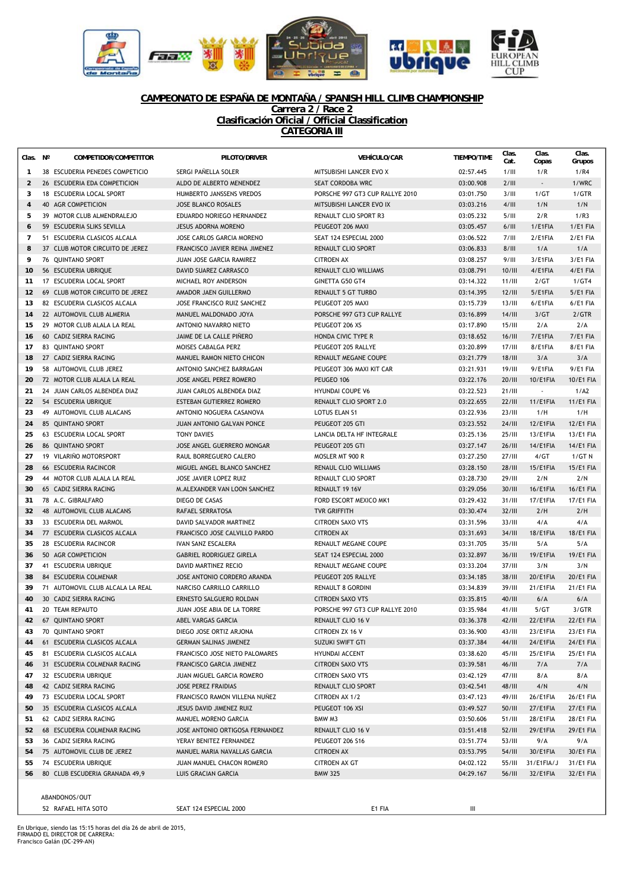

### **CAMPEONATO DE ESPAÑA DE MONTAÑA / SPANISH HILL CLIMB CHAMPIONSHIP Carrera 2 / Race 2**

**Clasificación Oficial / Official Classification**

**CATEGORIA III**

| Clas. Nº       | COMPETIDOR/COMPETITOR            | PILOTO/DRIVER                                           | <b>VEHÍCULO/CAR</b>                       | <b>TIEMPO/TIME</b>     | Clas.<br>Cat.    | Clas.<br>Copas           | Clas.<br>Grupos        |
|----------------|----------------------------------|---------------------------------------------------------|-------------------------------------------|------------------------|------------------|--------------------------|------------------------|
| $\mathbf{1}$   | 38 ESCUDERIA PENEDES COMPETICIO  | SERGI PAÑELLA SOLER                                     | MITSUBISHI LANCER EVO X                   | 02:57.445              | 1/III            | 1/R                      | 1/R4                   |
| $\overline{2}$ | 26 ESCUDERIA EDA COMPETICION     | ALDO DE ALBERTO MENENDEZ                                | SEAT CORDOBA WRC                          | 03:00.908              | 2/III            | $\overline{\phantom{a}}$ | 1/WRC                  |
| 3              | 18 ESCUDERIA LOCAL SPORT         | HUMBERTO JANSSENS VREDOS                                | PORSCHE 997 GT3 CUP RALLYE 2010           | 03:01.750              | 3/III            | 1/GT                     | 1/GTR                  |
| $\overline{4}$ | 40 AGR COMPETICION               | <b>JOSE BLANCO ROSALES</b>                              | MITSUBISHI LANCER EVO IX                  | 03:03.216              | 4/III            | 1/N                      | 1/N                    |
| 5              | 39 MOTOR CLUB ALMENDRALEJO       | EDUARDO NORIEGO HERNANDEZ                               | RENAULT CLIO SPORT R3                     | 03:05.232              | 5/III            | 2/R                      | 1/R3                   |
| 6              | 59 ESCUDERIA SLIKS SEVILLA       | <b>JESUS ADORNA MORENO</b>                              | PEUGEOT 206 MAXI                          | 03:05.457              | 6/III            | 1/E1FIA                  | 1/E1 FIA               |
| $\overline{7}$ | 51 ESCUDERIA CLASICOS ALCALA     | JOSE CARLOS GARCIA MORENO                               | SEAT 124 ESPECIAL 2000                    | 03:06.522              | 7/III            | 2/E1FIA                  | 2/E1 FIA               |
| 8              | 37 CLUB MOTOR CIRCUITO DE JEREZ  | FRANCISCO JAVIER REINA JIMENEZ                          | RENAULT CLIO SPORT                        | 03:06.833              | 8/III            | 1/A                      | 1/A                    |
| 9              | 76 OUINTANO SPORT                | JUAN JOSE GARCIA RAMIREZ                                | <b>CITROEN AX</b>                         | 03:08.257              | 9/III            | 3/E1FIA                  | 3/E1 FIA               |
| 10             | 56 ESCUDERIA UBRIQUE             | DAVID SUAREZ CARRASCO                                   | RENAULT CLIO WILLIAMS                     | 03:08.791              | 10/III           | 4/E1FIA                  | $4/EA$ FIA             |
| 11             | 17 ESCUDERIA LOCAL SPORT         | MICHAEL ROY ANDERSON                                    | GINETTA G50 GT4                           | 03:14.322              | $11/III$         | 2/GT                     | 1/GT4                  |
| 12             | 69 CLUB MOTOR CIRCUITO DE JEREZ  | AMADOR JAEN GUILLERMO                                   | <b>RENAULT 5 GT TURBO</b>                 | 03:14.395              | 12/III           | 5/E1FIA                  | <b>5/E1 FIA</b>        |
| 13             | 82 ESCUDERIA CLASICOS ALCALA     | JOSE FRANCISCO RUIZ SANCHEZ                             | PEUGEOT 205 MAXI                          | 03:15.739              | 13/III           | 6/E1FIA                  | 6/E1 FIA               |
| 14             | 22 AUTOMOVIL CLUB ALMERIA        | MANUEL MALDONADO JOYA                                   | PORSCHE 997 GT3 CUP RALLYE                | 03:16.899              | 14/III           | 3/GT                     | 2/GTR                  |
| 15             | 29 MOTOR CLUB ALALA LA REAL      | ANTONIO NAVARRO NIETO                                   | PEUGEOT 206 XS                            | 03:17.890              | 15/III           | 2/A                      | 2/A                    |
| 16             | 60 CADIZ SIERRA RACING           | JAIME DE LA CALLE PIÑERO                                | HONDA CIVIC TYPE R                        | 03:18.652              | 16/III           | 7/E1FIA                  | <b>7/E1 FIA</b>        |
| 17             | 83 QUINTANO SPORT                | MOISES CABALGA PERZ                                     | PEUGEOT 205 RALLYE                        | 03:20.899              | 17/III           | 8/E1FIA                  | 8/E1 FIA               |
| 18             | 27 CADIZ SIERRA RACING           | MANUEL RAMON NIETO CHICON                               | RENAULT MEGANE COUPE                      | 03:21.779              | 18/III           | 3/A                      | 3/A                    |
| 19             | 58 AUTOMOVIL CLUB JEREZ          | ANTONIO SANCHEZ BARRAGAN                                | PEUGEOT 306 MAXI KIT CAR                  | 03:21.931              | 19/III           | 9/E1FIA                  | <b>9/E1 FIA</b>        |
| 20             | 72 MOTOR CLUB ALALA LA REAL      | <b>JOSE ANGEL PEREZ ROMERO</b>                          | PEUGEO 106                                | 03:22.176              | 20/III           | $10$ /E1FIA              | 10/E1 FIA              |
| 21             | 24 JUAN CARLOS ALBENDEA DIAZ     | JUAN CARLOS ALBENDEA DIAZ                               | <b>HYUNDAI COUPE V6</b>                   | 03:22.523              | 21/III           | $\blacksquare$           | 1/A2                   |
| 22             | 54 ESCUDERIA UBRIQUE             | ESTEBAN GUTIERREZ ROMERO                                | RENAULT CLIO SPORT 2.0                    | 03:22.655              | 22/III           | 11/E1FIA                 | 11/E1 FIA              |
| 23             | 49 AUTOMOVIL CLUB ALACANS        | ANTONIO NOGUERA CASANOVA                                | LOTUS ELAN S1                             | 03:22.936              | 23/III           | 1/H                      | 1/H                    |
| 24             | 85 QUINTANO SPORT                | JUAN ANTONIO GALVAN PONCE                               | PEUGEOT 205 GTI                           | 03:23.552              | 24/III           | 12/E1FIA                 | 12/E1 FIA              |
| 25             | 63 ESCUDERIA LOCAL SPORT         | <b>TONY DAVIES</b>                                      | LANCIA DELTA HF INTEGRALE                 | 03:25.136              | 25/III           | 13/E1FIA                 | 13/E1 FIA              |
| 26             | 86 OUINTANO SPORT                | JOSE ANGEL GUERRERO MONGAR                              | PEUGEOT 205 GTI                           | 03:27.147              | 26/III           | 14/E1FIA                 | 14/E1 FIA              |
| 27             | 19 VILARIÑO MOTORSPORT           | RAUL BORREGUERO CALERO                                  | MOSLER MT 900 R                           | 03:27.250              | 27/III           | 4/GT                     | 1/GT N                 |
| 28             | 66 ESCUDERIA RACINCOR            | MIGUEL ANGEL BLANCO SANCHEZ                             | RENAUL CLIO WILLIAMS                      | 03:28.150              | 28/III           | 15/E1FIA                 | 15/E1 FIA              |
| 29             | 44 MOTOR CLUB ALALA LA REAL      | JOSE JAVIER LOPEZ RUIZ                                  | RENAULT CLIO SPORT                        | 03:28.730              | 29/11            | 2/N                      | 2/N                    |
| 30             | 65 CADIZ SIERRA RACING           | M.ALEXANDER VAN LOON SANCHEZ                            | RENAULT 19 16V                            | 03:29.056              | 30/III           | 16/E1FIA                 | 16/E1 FIA              |
| 31             | 78 A.C. GIBRALFARO               | DIEGO DE CASAS                                          | FORD ESCORT MEXICO MK1                    | 03:29.432              | 31/III           | 17/E1FIA                 | 17/E1 FIA              |
| 32             | 48 AUTOMOVIL CLUB ALACANS        | RAFAEL SERRATOSA                                        | <b>TVR GRIFFITH</b>                       | 03:30.474              | 32/III           | 2/H                      | 2/H                    |
| 33             | 33 ESCUDERIA DEL MARMOL          | DAVID SALVADOR MARTINEZ                                 | <b>CITROEN SAXO VTS</b>                   | 03:31.596              | 33/III           | 4/A                      | 4/A                    |
| 34             | 77 ESCUDERIA CLASICOS ALCALA     | FRANCISCO JOSE CALVILLO PARDO                           | <b>CITROEN AX</b>                         | 03:31.693              | 34/III           | 18/E1FIA                 | 18/E1 FIA              |
| 35             | 28 ESCUDERIA RACINCOR            | <b>IVAN SANZ ESCALERA</b>                               | RENAULT MEGANE COUPE                      | 03:31.705              | 35/III           | 5/A                      | 5/A                    |
| 36             | 50 AGR COMPETICION               | <b>GABRIEL RODRIGUEZ GIRELA</b>                         | SEAT 124 ESPECIAL 2000                    | 03:32.897              | 36/III           | 19/E1FIA                 | 19/E1 FIA              |
| 37             | 41 ESCUDERIA UBRIQUE             | DAVID MARTINEZ RECIO                                    | RENAULT MEGANE COUPE                      | 03:33.204              | 37/III           | 3/N                      | 3/N                    |
| 38             | 84 ESCUDERIA COLMENAR            | JOSE ANTONIO CORDERO ARANDA                             | PEUGEOT 205 RALLYE                        | 03:34.185              | 38/III           | 20/E1FIA                 | 20/E1 FIA              |
| 39             | 71 AUTOMOVIL CLUB ALCALA LA REAL | NARCISO CARRILLO CARRILLO                               | <b>RENAULT 8 GORDINI</b>                  | 03:34.839              | 39/III           | 21/E1FIA                 | 21/E1 FIA              |
| 40             | 30 CADIZ SIERRA RACING           | ERNESTO SALGUERO ROLDAN                                 | <b>CITROEN SAXO VTS</b>                   | 03:35.815              | 40/III           | 6/A                      | 6/A                    |
| 41             | 20 TEAM REPAUTO                  | JUAN JOSE ABIA DE LA TORRE                              | PORSCHE 997 GT3 CUP RALLYE 2010           | 03:35.984              | 41/III           | 5/GT                     | 3/GTR                  |
| 42             | 67 QUINTANO SPORT                | ABEL VARGAS GARCIA                                      | RENAULT CLIO 16 V                         | 03:36.378              | 42/III           | 22/EHFA                  | 22/E1 FIA              |
|                | 70 QUINTANO SPORT                | DIEGO JOSE ORTIZ ARJONA                                 | CITROEN ZX 16 V                           | 03:36.900              |                  |                          | 23/E1 FIA              |
| 43<br>44       | 61 ESCUDERIA CLASICOS ALCALA     | <b>GERMAN SALINAS JIMENEZ</b>                           | SUZUKI SWIFT GTI                          | 03:37.384              | 43/III<br>44/III | 23/E1FIA<br>24/E1FIA     | 24/E1 FIA              |
|                | 81 ESCUDERIA CLASICOS ALCALA     | FRANCISCO JOSE NIETO PALOMARES                          |                                           | 03:38.620              | 45/III           | 25/E1FIA                 | 25/E1 FIA              |
| 45<br>46       | 31 ESCUDERIA COLMENAR RACING     | FRANCISCO GARCIA JIMENEZ                                | HYUNDAI ACCENT<br><b>CITROEN SAXO VTS</b> | 03:39.581              | 46/III           | 7/A                      | 7/A                    |
|                |                                  | JUAN MIGUEL GARCIA ROMERO                               |                                           |                        |                  |                          |                        |
| 47             | 32 ESCUDERIA UBRIQUE             |                                                         | CITROEN SAXO VTS                          | 03:42.129              | 47/III           | 8/A                      | 8/A                    |
| 48             | 42 CADIZ SIERRA RACING           | JOSE PEREZ FRAIDIAS                                     | RENAULT CLIO SPORT                        | 03:42.541              | 48/III           | 4/N<br>26/E1FIA          | 4/N                    |
| 49             | 73 ESCUDERIA LOCAL SPORT         | FRANCISCO RAMON VILLENA NUÑEZ                           | CITROEN AX 1/2                            | 03:47.123              | 49/III           |                          | 26/E1 FIA              |
| 50             | 35 ESCUDERIA CLASICOS ALCALA     | JESUS DAVID JIMENEZ RUIZ                                | PEUGEOT 106 XSI                           | 03:49.527<br>03:50.606 | 50/III           | 27/E1FIA                 | 27/E1 FIA              |
| 51             | 62 CADIZ SIERRA RACING           | MANUEL MORENO GARCIA<br>JOSE ANTONIO ORTIGOSA FERNANDEZ | BMW M3<br>RENAULT CLIO 16 V               |                        | 51/III<br>52/III | 28/E1FIA<br>29/E1FIA     | 28/E1 FIA<br>29/E1 FIA |
| 52             | 68 ESCUDERIA COLMENAR RACING     |                                                         |                                           | 03:51.418<br>03:51.774 |                  |                          |                        |
| 53             | 36 CADIZ SIERRA RACING           | YERAY BENITEZ FERNANDEZ                                 | PEUGEOT 206 S16                           |                        | 53/III           | 9/A                      | 9/A                    |
| 54             | 75 AUTOMOVIL CLUB DE JEREZ       | MANUEL MARIA NAVALLAS GARCIA                            | <b>CITROEN AX</b>                         | 03:53.795              | 54/III           | 30/E1FIA                 | 30/E1 FIA              |
| 55             | 74 ESCUDERIA UBRIQUE             | JUAN MANUEL CHACON ROMERO                               | CITROEN AX GT                             | 04:02.122              | 55/III           | 31/E1FIA/J               | 31/E1 FIA              |
| 56             | 80 CLUB ESCUDERIA GRANADA 49,9   | LUIS GRACIAN GARCIA                                     | <b>BMW 325</b>                            | 04:29.167              | 56/III           | 32/E1FIA                 | 32/E1 FIA              |
|                |                                  |                                                         |                                           |                        |                  |                          |                        |
|                | ABANDONOS/OUT                    |                                                         |                                           |                        |                  |                          |                        |
|                | 52 RAFAEL HITA SOTO              | SEAT 124 ESPECIAL 2000                                  | E1 FIA                                    | Ш                      |                  |                          |                        |